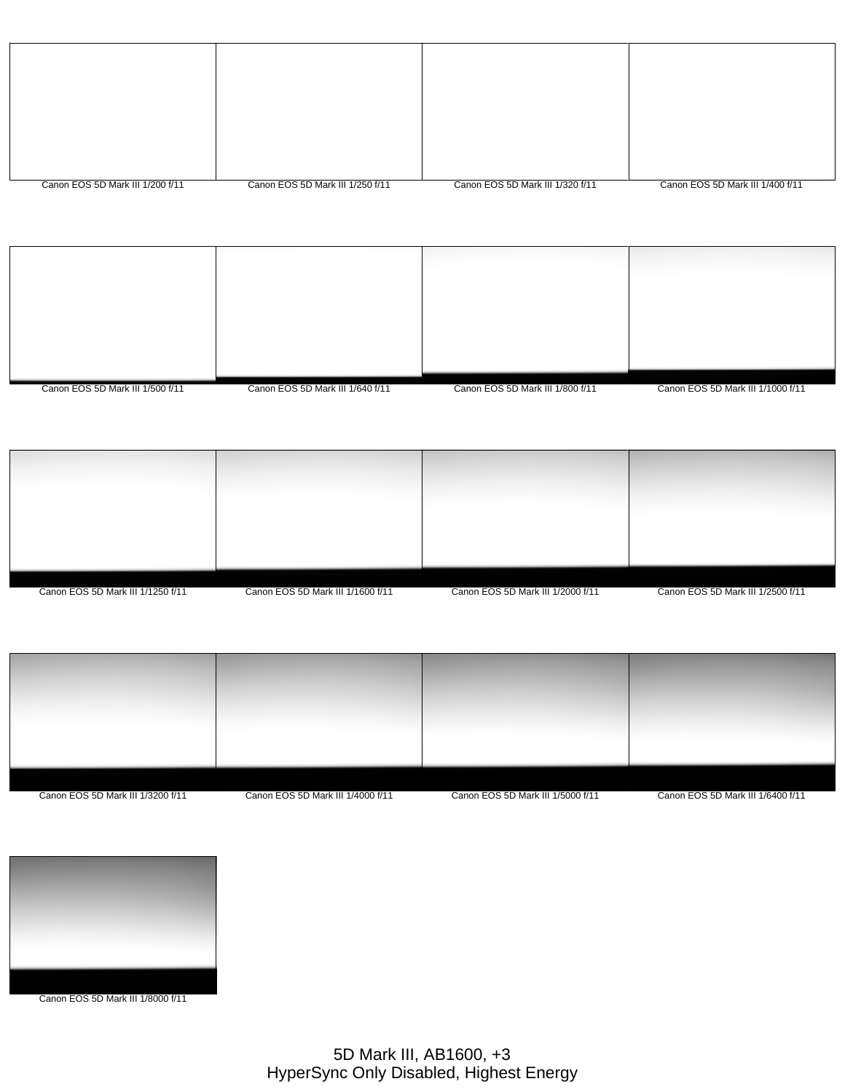| Canon EOS 5D Mark III 1/200 f/11 | Canon EOS 5D Mark III 1/250 f/11 | Canon EOS 5D Mark III 1/320 f/11 | Canon EOS 5D Mark III 1/400 f/11 |
|----------------------------------|----------------------------------|----------------------------------|----------------------------------|

| Canon EOS 5D Mark III 1/500 f/11 | Canon EOS 5D Mark III 1/640 f/11 | Canon EOS 5D Mark III 1/800 f/11 | Canon EOS 5D Mark III 1/1000 f/11 |
|----------------------------------|----------------------------------|----------------------------------|-----------------------------------|
|                                  |                                  |                                  |                                   |
|                                  |                                  |                                  |                                   |

| Canon EOS 5D Mark III 1/1250 f/11 | Canon EOS 5D Mark III 1/1600 f/11 | Canon EOS 5D Mark III 1/2000 f/11 | Canon EOS 5D Mark III 1/2500 f/11 |
|-----------------------------------|-----------------------------------|-----------------------------------|-----------------------------------|

| 그 승규는 그 사람들은 사람들을 사용하는 것이 없다. 그는 사람들은 사람들의 사람들을 사용했다.                                                                                                                                                                                |                                                                                                                 |                                                                                                                                                        |
|--------------------------------------------------------------------------------------------------------------------------------------------------------------------------------------------------------------------------------------|-----------------------------------------------------------------------------------------------------------------|--------------------------------------------------------------------------------------------------------------------------------------------------------|
| - 1995년 - 1996년 - 1997년 - 1997년 - 1997년 - 1997년 - 1997년 - 1997년 - 1997년 - 1997년 - 1997년 - 1997년 - 1997년 - 1997                                                                                                                       | - 1995년 - 1995년 - 1995년 - 1995년 - 1995년 - 1995년 - 1995년 - 1995년 - 1995년 - 1995년 - 1995년 - 1995년 - 1995년 - 1995년 |                                                                                                                                                        |
| and the company of the company of the company of the company of the company of the company of the company of the<br>and the control of the control of the control of the control of the control of the control of the control of the |                                                                                                                 |                                                                                                                                                        |
| <u> 1980 - Andrea States, amerikansk politiker (d. 1980)</u>                                                                                                                                                                         | a sa mga pag-alawang nagsang ng pag-alawang ng pag-alawang ng pag-alawang ng pag-alawang ng pag-alawang ng pag- |                                                                                                                                                        |
|                                                                                                                                                                                                                                      |                                                                                                                 | <u>and the second second second</u><br>the contract of the contract of the contract of the contract of the contract of the contract of the contract of |
|                                                                                                                                                                                                                                      |                                                                                                                 |                                                                                                                                                        |
|                                                                                                                                                                                                                                      |                                                                                                                 |                                                                                                                                                        |
|                                                                                                                                                                                                                                      |                                                                                                                 |                                                                                                                                                        |

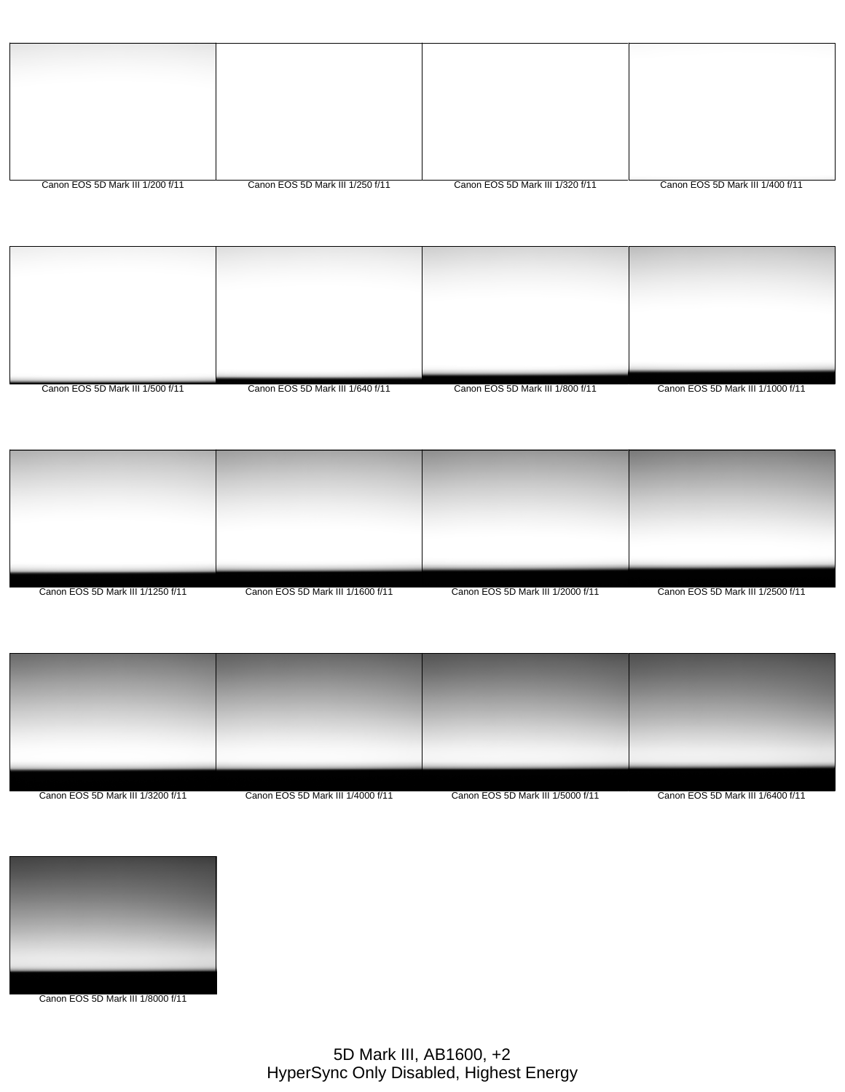| Canon EOS 5D Mark III 1/200 f/11 | Canon EOS 5D Mark III 1/250 f/11 | Canon EOS 5D Mark III 1/320 f/11 | Canon EOS 5D Mark III 1/400 f/11 |
|----------------------------------|----------------------------------|----------------------------------|----------------------------------|

| Canon EOS 5D Mark III 1/500 f/11 | Canon EOS 5D Mark III 1/640 f/11 | Canon EOS 5D Mark III 1/800 f/11 | Canon EOS 5D Mark III 1/1000 f/11 |
|----------------------------------|----------------------------------|----------------------------------|-----------------------------------|





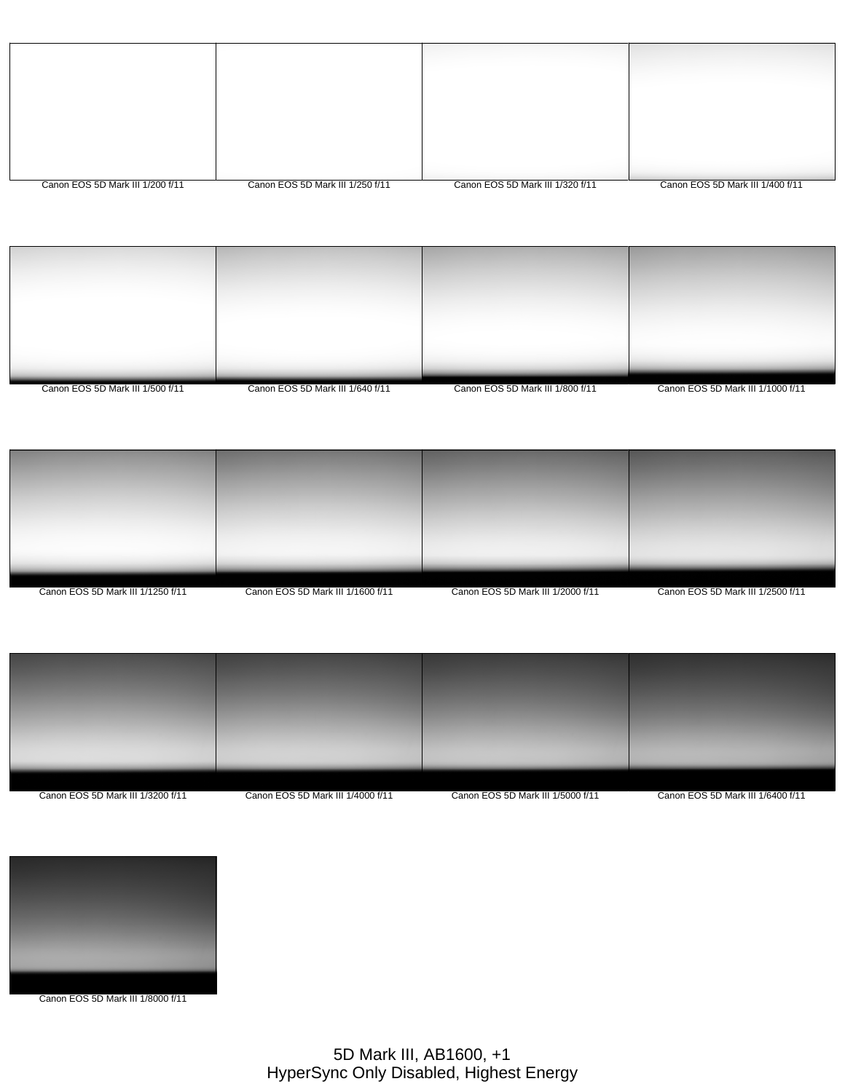| Canon EOS 5D Mark III 1/200 f/11 | Canon EOS 5D Mark III 1/250 f/11 | Canon EOS 5D Mark III 1/320 f/11 | Canon EOS 5D Mark III 1/400 f/11 |
|----------------------------------|----------------------------------|----------------------------------|----------------------------------|

| Canon EOS 5D Mark III 1/500 f/11 | Canon EOS 5D Mark III 1/640 f/11 | Canon EOS 5D Mark III 1/800 f/11 | Canon EOS 5D Mark III 1/1000 f/11 |
|----------------------------------|----------------------------------|----------------------------------|-----------------------------------|





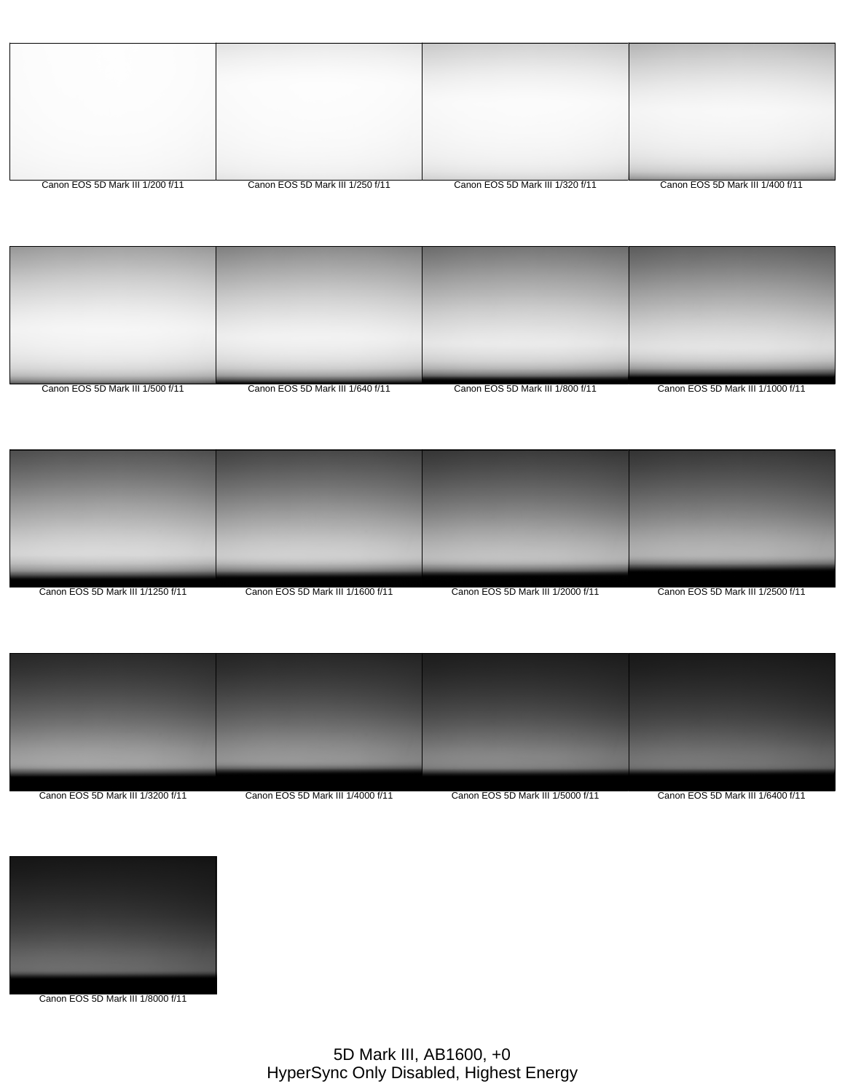| Canon EOS 5D Mark III 1/200 f/11 | Canon EOS 5D Mark III 1/250 f/11 | Canon EOS 5D Mark III 1/320 f/11 | Canon EOS 5D Mark III 1/400 f/11 |
|----------------------------------|----------------------------------|----------------------------------|----------------------------------|







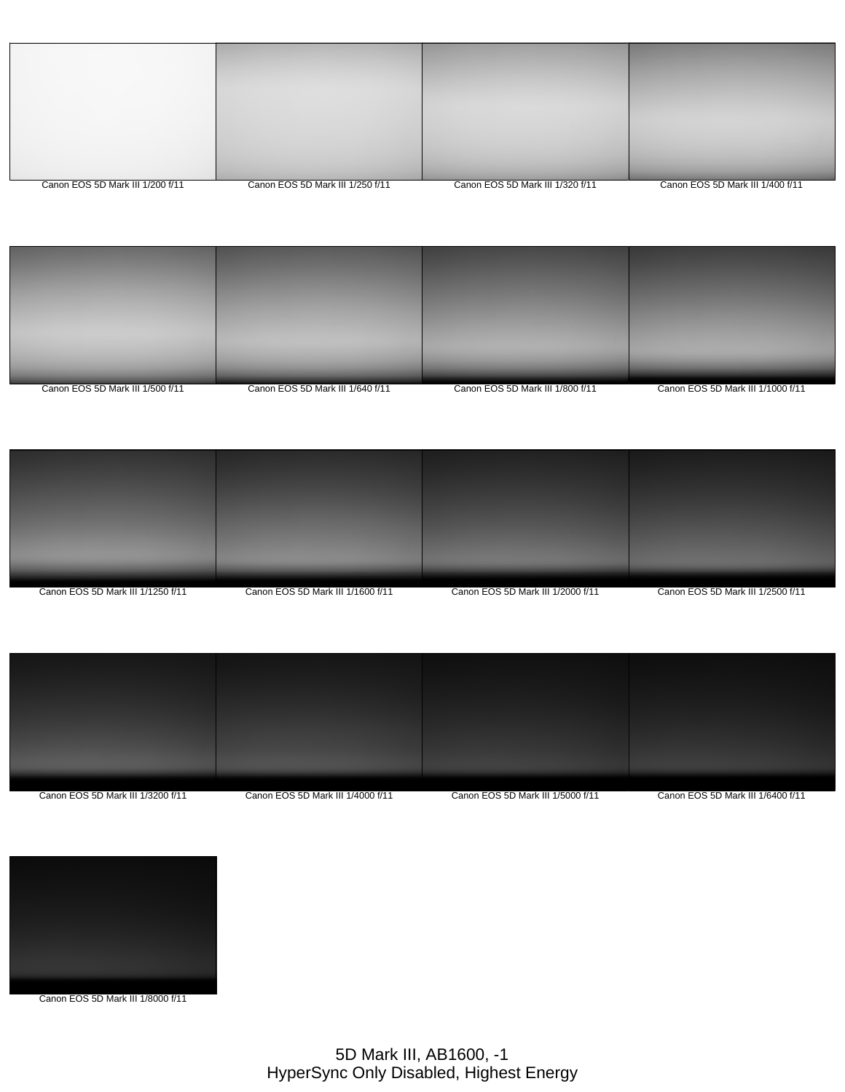| Canon EOS 5D Mark III 1/200 f/11 | Canon EOS 5D Mark III 1/250 f/11 | Canon EOS 5D Mark III 1/320 f/11 | Canon EOS 5D Mark III 1/400 f/11 |
|----------------------------------|----------------------------------|----------------------------------|----------------------------------|
|                                  |                                  |                                  |                                  |
|                                  |                                  |                                  |                                  |
|                                  |                                  |                                  |                                  |
|                                  |                                  |                                  |                                  |
|                                  |                                  |                                  |                                  |







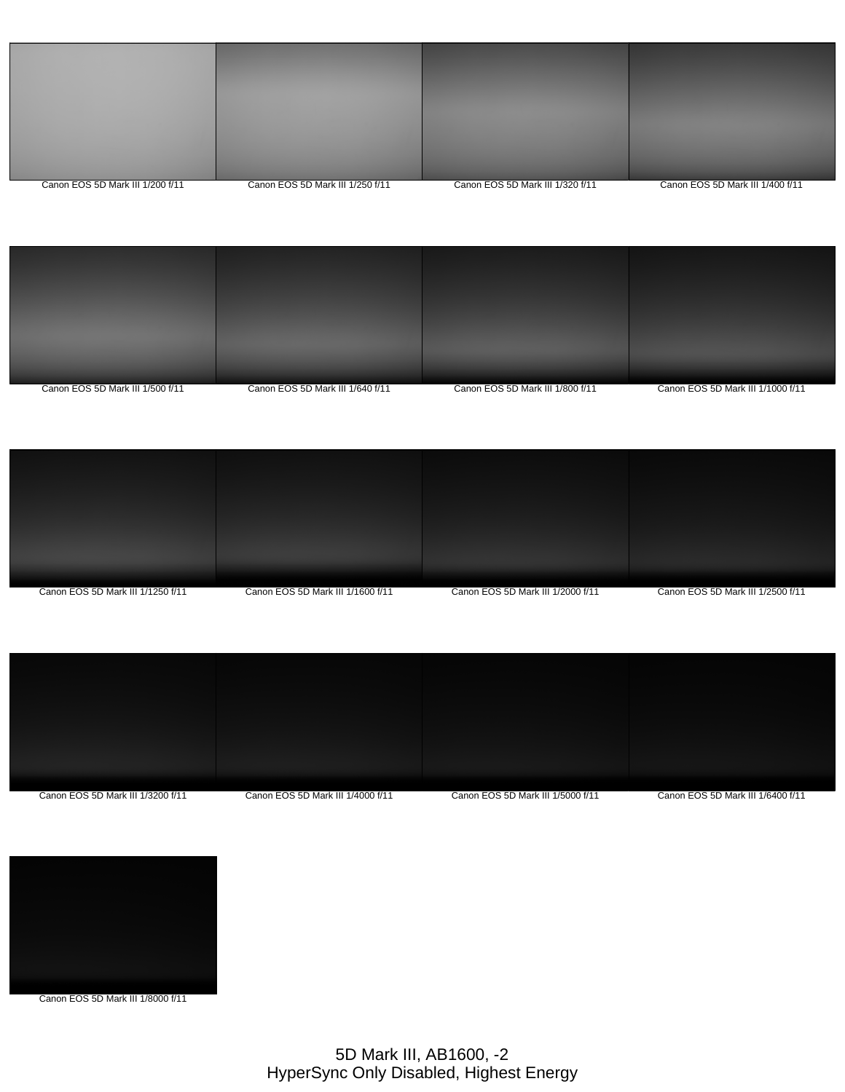